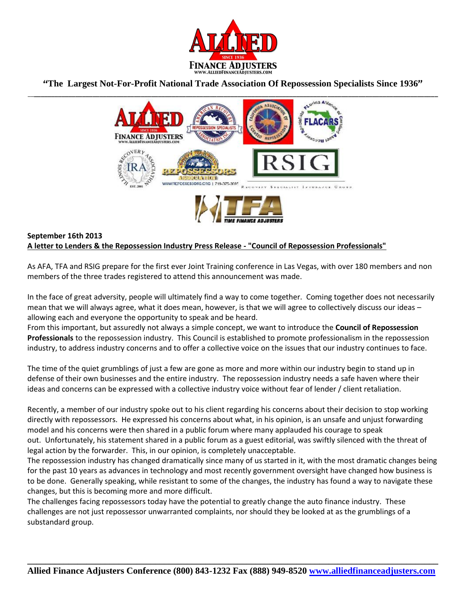

## **"The Largest Not-For-Profit National Trade Association Of Repossession Specialists Since 1936"**



## **September 16th 2013 A letter to Lenders & the Repossession Industry Press Release - "Council of Repossession Professionals"**

As AFA, TFA and RSIG prepare for the first ever Joint Training conference in Las Vegas, with over 180 members and non members of the three trades registered to attend this announcement was made.

In the face of great adversity, people will ultimately find a way to come together. Coming together does not necessarily mean that we will always agree, what it does mean, however, is that we will agree to collectively discuss our ideas – allowing each and everyone the opportunity to speak and be heard.

From this important, but assuredly not always a simple concept, we want to introduce the **Council of Repossession Professionals** to the repossession industry. This Council is established to promote professionalism in the repossession industry, to address industry concerns and to offer a collective voice on the issues that our industry continues to face.

The time of the quiet grumblings of just a few are gone as more and more within our industry begin to stand up in defense of their own businesses and the entire industry. The repossession industry needs a safe haven where their ideas and concerns can be expressed with a collective industry voice without fear of lender / client retaliation.

Recently, a member of our industry spoke out to his client regarding his concerns about their decision to stop working directly with repossessors. He expressed his concerns about what, in his opinion, is an unsafe and unjust forwarding model and his concerns were then shared in a public forum where many applauded his courage to speak out. Unfortunately, his statement shared in a public forum as a guest editorial, was swiftly silenced with the threat of legal action by the forwarder. This, in our opinion, is completely unacceptable.

The repossession industry has changed dramatically since many of us started in it, with the most dramatic changes being for the past 10 years as advances in technology and most recently government oversight have changed how business is to be done. Generally speaking, while resistant to some of the changes, the industry has found a way to navigate these changes, but this is becoming more and more difficult.

The challenges facing repossessors today have the potential to greatly change the auto finance industry. These challenges are not just repossessor unwarranted complaints, nor should they be looked at as the grumblings of a substandard group.